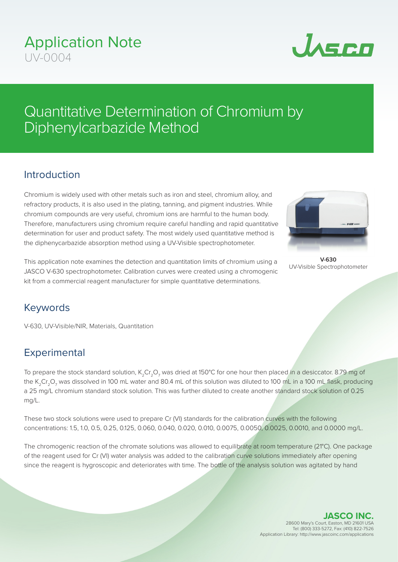# Application Note  $UV-0004$



# Quantitative Determination of Chromium by Diphenylcarbazide Method

### Introduction

Chromium is widely used with other metals such as iron and steel, chromium alloy, and refractory products, it is also used in the plating, tanning, and pigment industries. While chromium compounds are very useful, chromium ions are harmful to the human body. Therefore, manufacturers using chromium require careful handling and rapid quantitative determination for user and product safety. The most widely used quantitative method is the diphenycarbazide absorption method using a UV-Visible spectrophotometer.



**V-630** UV-Visible Spectrophotometer

This application note examines the detection and quantitation limits of chromium using a JASCO V-630 spectrophotometer. Calibration curves were created using a chromogenic kit from a commercial reagent manufacturer for simple quantitative determinations.

#### Keywords

V-630, UV-Visible/NIR, Materials, Quantitation

## **Experimental**

To prepare the stock standard solution,  $K_2Cr_2O_7$  was dried at 150°C for one hour then placed in a desiccator. 8.79 mg of the K<sub>2</sub>Cr<sub>2</sub>O<sub>7</sub> was dissolved in 100 mL water and 80.4 mL of this solution was diluted to 100 mL in a 100 mL flask, producing a 25 mg/L chromium standard stock solution. This was further diluted to create another standard stock solution of 0.25 mg/L.

These two stock solutions were used to prepare Cr (VI) standards for the calibration curves with the following concentrations: 1.5, 1.0, 0.5, 0.25, 0.125, 0.060, 0.040, 0.020, 0.010, 0.0075, 0.0050, 0.0025, 0.0010, and 0.0000 mg/L.

The chromogenic reaction of the chromate solutions was allowed to equilibrate at room temperature (21°C). One package of the reagent used for Cr (VI) water analysis was added to the calibration curve solutions immediately after opening since the reagent is hygroscopic and deteriorates with time. The bottle of the analysis solution was agitated by hand

> **JASCO INC.** 28600 Mary's Court, Easton, MD 21601 USA Tel: (800) 333-5272, Fax: (410) 822-7526 Application Library: http://www.jascoinc.com/applications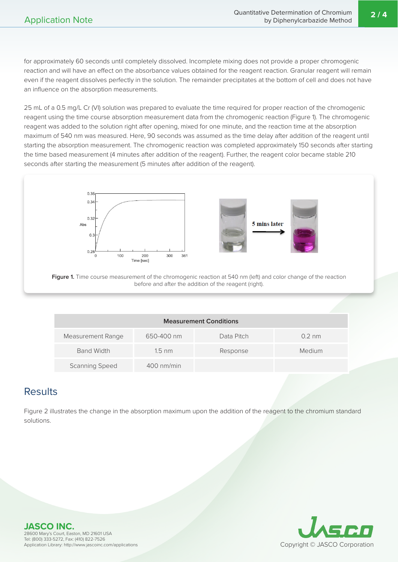for approximately 60 seconds until completely dissolved. Incomplete mixing does not provide a proper chromogenic reaction and will have an effect on the absorbance values obtained for the reagent reaction. Granular reagent will remain even if the reagent dissolves perfectly in the solution. The remainder precipitates at the bottom of cell and does not have an influence on the absorption measurements.

25 mL of a 0.5 mg/L Cr (VI) solution was prepared to evaluate the time required for proper reaction of the chromogenic reagent using the time course absorption measurement data from the chromogenic reaction (Figure 1). The chromogenic reagent was added to the solution right after opening, mixed for one minute, and the reaction time at the absorption maximum of 540 nm was measured. Here, 90 seconds was assumed as the time delay after addition of the reagent until starting the absorption measurement. The chromogenic reaction was completed approximately 150 seconds after starting the time based measurement (4 minutes after addition of the reagent). Further, the reagent color became stable 210 seconds after starting the measurement (5 minutes after addition of the reagent).





**Figure 1.** Time course measurement of the chromogenic reaction at 540 nm (left) and color change of the reaction before and after the addition of the reagent (right).

| <b>Measurement Conditions</b> |                  |            |                  |  |  |
|-------------------------------|------------------|------------|------------------|--|--|
| Measurement Range             | 650-400 nm       | Data Pitch | $0.2 \text{ nm}$ |  |  |
| <b>Band Width</b>             | $1.5 \text{ nm}$ | Response   | Medium           |  |  |
| <b>Scanning Speed</b>         | $400$ nm/min     |            |                  |  |  |

#### **Results**

Figure 2 illustrates the change in the absorption maximum upon the addition of the reagent to the chromium standard solutions.



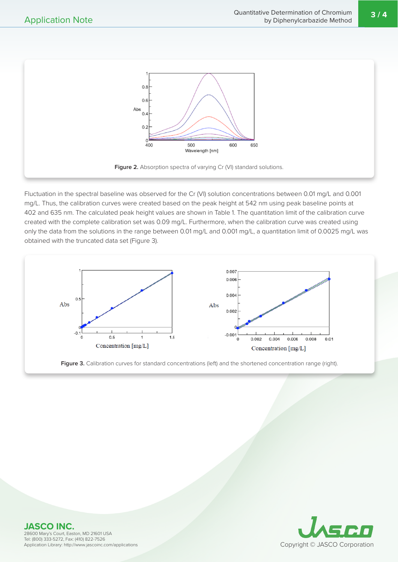**3 / 4**



**Figure 2.** Absorption spectra of varying Cr (VI) standard solutions.

Fluctuation in the spectral baseline was observed for the Cr (VI) solution concentrations between 0.01 mg/L and 0.001 mg/L. Thus, the calibration curves were created based on the peak height at 542 nm using peak baseline points at 402 and 635 nm. The calculated peak height values are shown in Table 1. The quantitation limit of the calibration curve created with the complete calibration set was 0.09 mg/L. Furthermore, when the calibration curve was created using only the data from the solutions in the range between 0.01 mg/L and 0.001 mg/L, a quantitation limit of 0.0025 mg/L was obtained with the truncated data set (Figure 3).







**JASCO INC.** 28600 Mary's Court, Easton, MD 21601 USA Tel: (800) 333-5272, Fax: (410) 822-7526 Application Library: http://www.jascoinc.com/applications